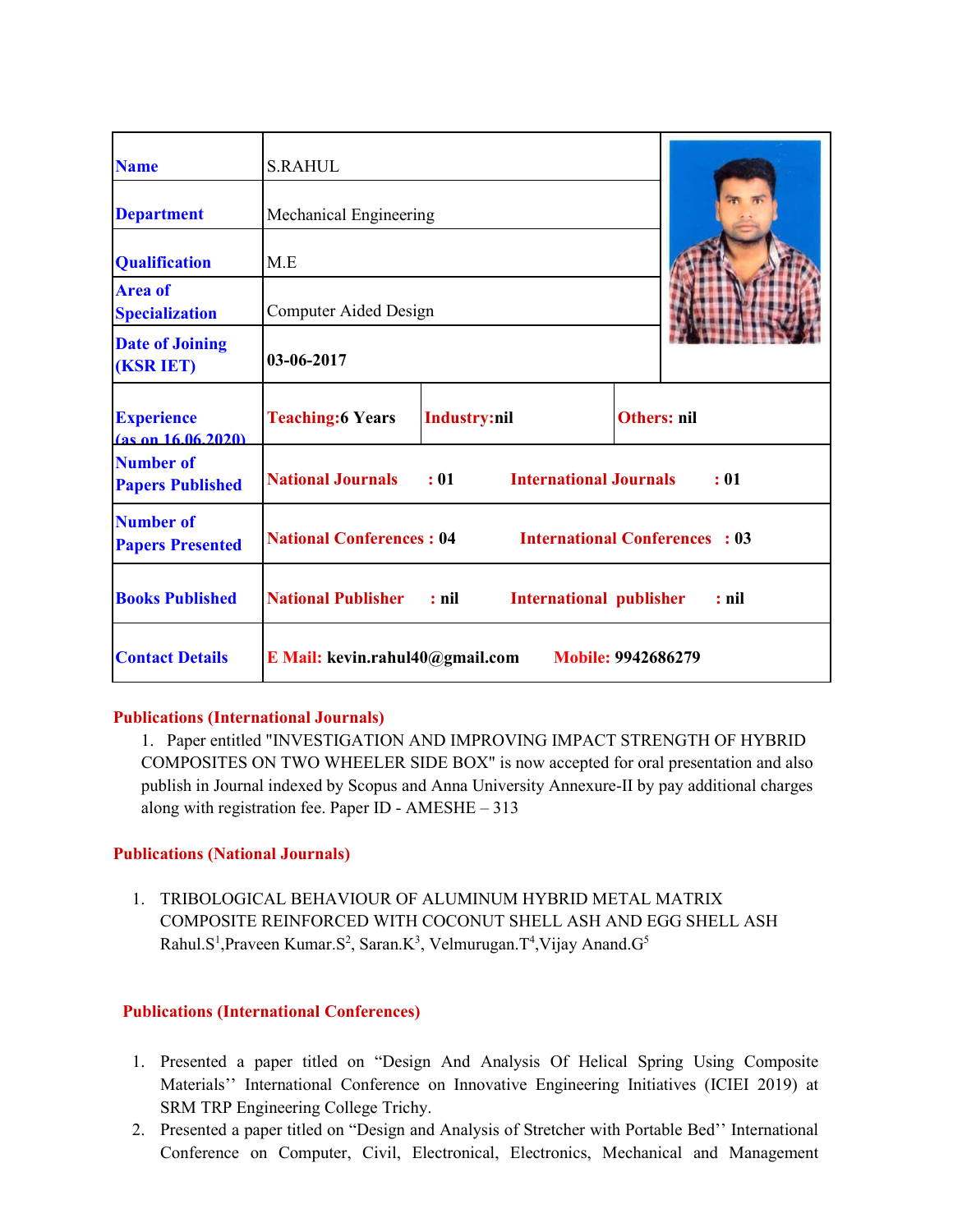| <b>Name</b>                                 | <b>S.RAHUL</b>                                                               |                                            |             |      |
|---------------------------------------------|------------------------------------------------------------------------------|--------------------------------------------|-------------|------|
| <b>Department</b>                           | Mechanical Engineering                                                       |                                            |             |      |
| <b>Qualification</b>                        | M.E                                                                          |                                            |             |      |
| <b>Area of</b><br><b>Specialization</b>     | Computer Aided Design                                                        |                                            |             |      |
| <b>Date of Joining</b><br><b>(KSR IET)</b>  | 03-06-2017                                                                   |                                            |             |      |
| <b>Experience</b><br>$(a)$ s on 16.06.2020) | <b>Teaching:6 Years</b>                                                      | Industry:nil                               | Others: nil |      |
| <b>Number of</b><br><b>Papers Published</b> | <b>National Journals</b>                                                     | $\div 01$<br><b>International Journals</b> |             | : 01 |
| <b>Number of</b><br><b>Papers Presented</b> | <b>National Conferences: 04</b> International Conferences: 03                |                                            |             |      |
| <b>Books Published</b>                      | <b>National Publisher : nil</b><br><b>International publisher</b><br>$:$ nil |                                            |             |      |
| <b>Contact Details</b>                      | <b>E</b> Mail: kevin.rahul $40$ @gmail.com                                   | <b>Mobile: 9942686279</b>                  |             |      |

## **Publications (International Journals)**

1. Paper entitled "INVESTIGATION AND IMPROVING IMPACT STRENGTH OF HYBRID COMPOSITES ON TWO WHEELER SIDE BOX" is now accepted for oral presentation and also publish in Journal indexed by Scopus and Anna University Annexure-II by pay additional charges along with registration fee. Paper ID - AMESHE – 313

## **Publications (National Journals)**

1. TRIBOLOGICAL BEHAVIOUR OF ALUMINUM HYBRID METAL MATRIX COMPOSITE REINFORCED WITH COCONUT SHELL ASH AND EGG SHELL ASH Rahul.S<sup>1</sup>, Praveen Kumar.S<sup>2</sup>, Saran.K<sup>3</sup>, Velmurugan.T<sup>4</sup>, Vijay Anand.G<sup>5</sup>

## **Publications (International Conferences)**

- 1. Presented a paper titled on "Design And Analysis Of Helical Spring Using Composite Materials'' International Conference on Innovative Engineering Initiatives (ICIEI 2019) at SRM TRP Engineering College Trichy.
- 2. Presented a paper titled on "Design and Analysis of Stretcher with Portable Bed'' International Conference on Computer, Civil, Electronical, Electronics, Mechanical and Management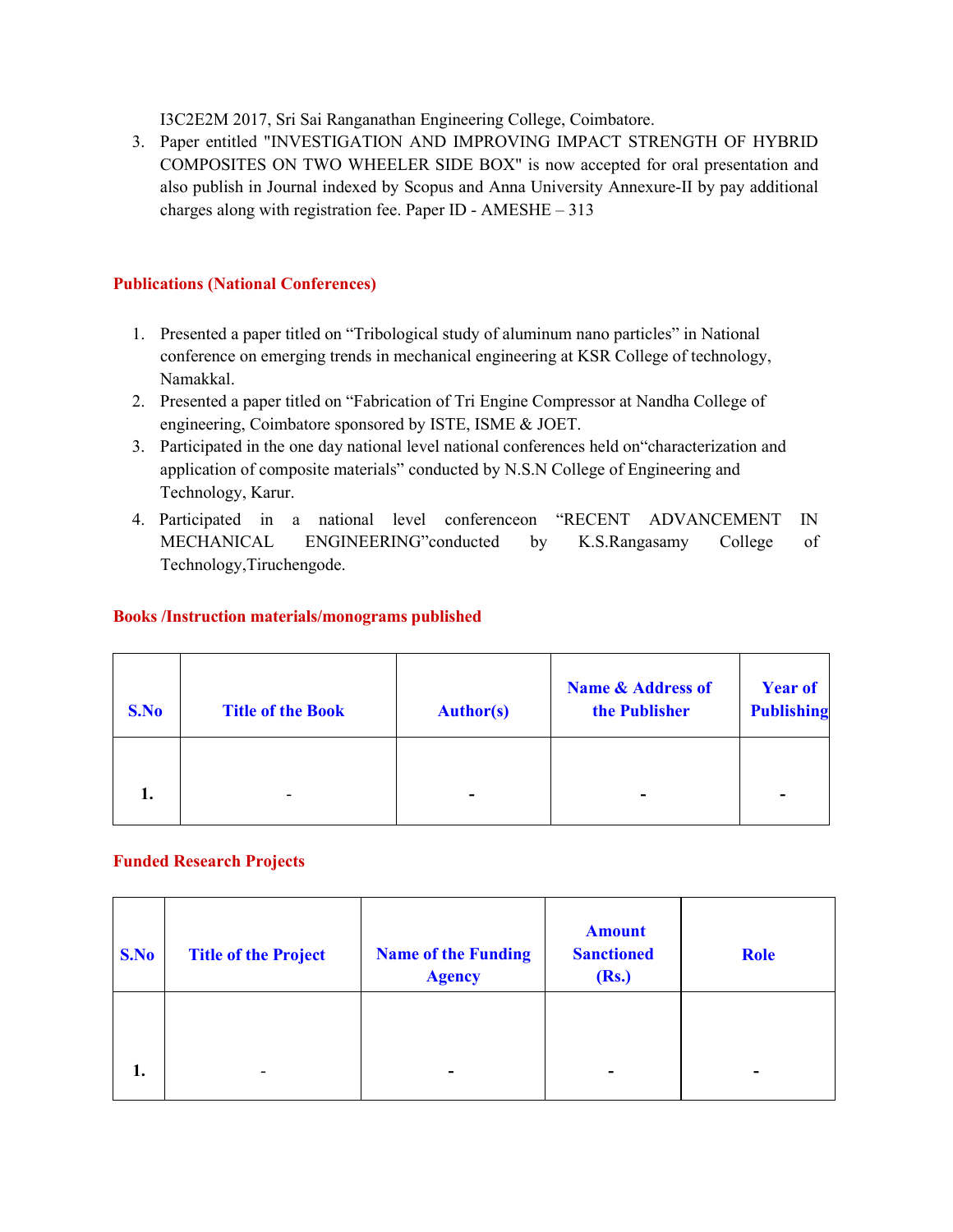I3C2E2M 2017, Sri Sai Ranganathan Engineering College, Coimbatore.

3. Paper entitled "INVESTIGATION AND IMPROVING IMPACT STRENGTH OF HYBRID COMPOSITES ON TWO WHEELER SIDE BOX" is now accepted for oral presentation and also publish in Journal indexed by Scopus and Anna University Annexure-II by pay additional charges along with registration fee. Paper ID - AMESHE – 313

#### **Publications (National Conferences)**

- 1. Presented a paper titled on "Tribological study of aluminum nano particles" in National conference on emerging trends in mechanical engineering at KSR College of technology, Namakkal.
- 2. Presented a paper titled on "Fabrication of Tri Engine Compressor at Nandha College of engineering, Coimbatore sponsored by ISTE, ISME & JOET.
- 3. Participated in the one day national level national conferences held on"characterization and application of composite materials" conducted by N.S.N College of Engineering and Technology, Karur.
- 4. Participated in a national level conferenceon "RECENT ADVANCEMENT IN MECHANICAL ENGINEERING"conducted by K.S.Rangasamy College of Technology,Tiruchengode.

#### **Books /Instruction materials/monograms published**

| S.No | <b>Title of the Book</b> | <b>Author(s)</b> | <b>Name &amp; Address of</b><br>the Publisher | <b>Year of</b><br><b>Publishing</b> |
|------|--------------------------|------------------|-----------------------------------------------|-------------------------------------|
| 1.   | -                        | ۰                | -                                             |                                     |

#### **Funded Research Projects**

| S.No | <b>Title of the Project</b> | <b>Name of the Funding</b><br><b>Agency</b> | <b>Amount</b><br><b>Sanctioned</b><br>(Rs.) | <b>Role</b>              |
|------|-----------------------------|---------------------------------------------|---------------------------------------------|--------------------------|
| 1.   | $\overline{\phantom{0}}$    | -                                           | -                                           | $\overline{\phantom{a}}$ |